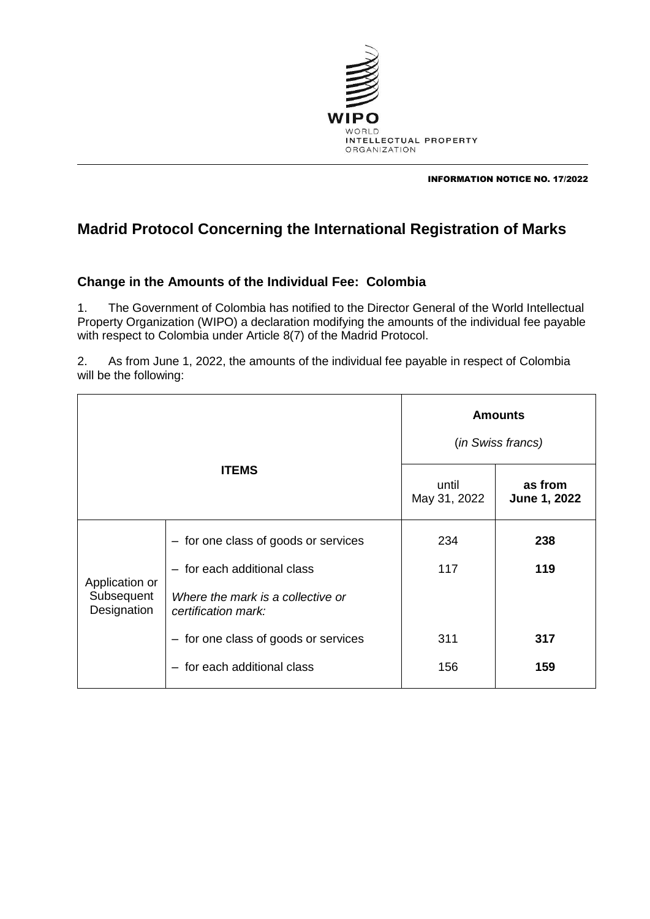

INFORMATION NOTICE NO. 17/2022

## **Madrid Protocol Concerning the International Registration of Marks**

## **Change in the Amounts of the Individual Fee: Colombia**

1. The Government of Colombia has notified to the Director General of the World Intellectual Property Organization (WIPO) a declaration modifying the amounts of the individual fee payable with respect to Colombia under Article 8(7) of the Madrid Protocol.

2. As from June 1, 2022, the amounts of the individual fee payable in respect of Colombia will be the following:

| <b>ITEMS</b>                                |                                                          | <b>Amounts</b><br>(in Swiss francs) |                         |
|---------------------------------------------|----------------------------------------------------------|-------------------------------------|-------------------------|
|                                             |                                                          | until<br>May 31, 2022               | as from<br>June 1, 2022 |
| Application or<br>Subsequent<br>Designation | - for one class of goods or services                     | 234                                 | 238                     |
|                                             | - for each additional class                              | 117                                 | 119                     |
|                                             | Where the mark is a collective or<br>certification mark: |                                     |                         |
|                                             | - for one class of goods or services                     | 311                                 | 317                     |
|                                             | - for each additional class                              | 156                                 | 159                     |